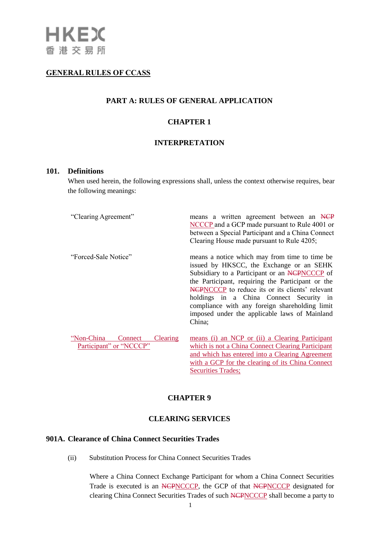# **GENERAL RULES OF CCASS**

# **PART A: RULES OF GENERAL APPLICATION**

# **CHAPTER 1**

## **INTERPRETATION**

#### **101. Definitions**

When used herein, the following expressions shall, unless the context otherwise requires, bear the following meanings:

| "Clearing Agreement"                                                | means a written agreement between an NCP<br>NCCCP and a GCP made pursuant to Rule 4001 or<br>between a Special Participant and a China Connect<br>Clearing House made pursuant to Rule 4205;                                                                                                                                                                                                                |
|---------------------------------------------------------------------|-------------------------------------------------------------------------------------------------------------------------------------------------------------------------------------------------------------------------------------------------------------------------------------------------------------------------------------------------------------------------------------------------------------|
| "Forced-Sale Notice"                                                | means a notice which may from time to time be.<br>issued by HKSCC, the Exchange or an SEHK<br>Subsidiary to a Participant or an NCPNCCCP of<br>the Participant, requiring the Participant or the<br>NCPNCCCP to reduce its or its clients' relevant<br>holdings in a China Connect Security in<br>compliance with any foreign shareholding limit<br>imposed under the applicable laws of Mainland<br>China; |
| "Non-China<br><b>Clearing</b><br>Connect<br>Participant" or "NCCCP" | means (i) an NCP or (ii) a Clearing Participant<br>which is not a China Connect Clearing Participant<br>and which has entered into a Clearing Agreement<br>with a GCP for the clearing of its China Connect                                                                                                                                                                                                 |

# **CHAPTER 9**

# **CLEARING SERVICES**

# **901A. Clearance of China Connect Securities Trades**

(ii) Substitution Process for China Connect Securities Trades

Where a China Connect Exchange Participant for whom a China Connect Securities Trade is executed is an NCPNCCCP, the GCP of that NCPNCCCP designated for clearing China Connect Securities Trades of such NCPNCCCP shall become a party to

Securities Trades;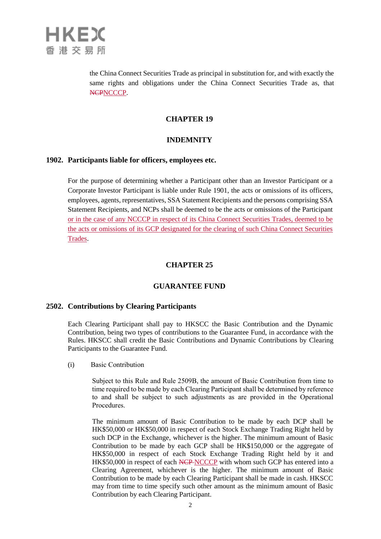

the China Connect Securities Trade as principal in substitution for, and with exactly the same rights and obligations under the China Connect Securities Trade as, that NCPNCCCP.

#### **CHAPTER 19**

# **INDEMNITY**

#### **1902. Participants liable for officers, employees etc.**

For the purpose of determining whether a Participant other than an Investor Participant or a Corporate Investor Participant is liable under Rule 1901, the acts or omissions of its officers, employees, agents, representatives, SSA Statement Recipients and the persons comprising SSA Statement Recipients, and NCPs shall be deemed to be the acts or omissions of the Participant or in the case of any NCCCP in respect of its China Connect Securities Trades, deemed to be the acts or omissions of its GCP designated for the clearing of such China Connect Securities Trades.

# **CHAPTER 25**

#### **GUARANTEE FUND**

# **2502. Contributions by Clearing Participants**

Each Clearing Participant shall pay to HKSCC the Basic Contribution and the Dynamic Contribution, being two types of contributions to the Guarantee Fund, in accordance with the Rules. HKSCC shall credit the Basic Contributions and Dynamic Contributions by Clearing Participants to the Guarantee Fund.

(i) Basic Contribution

Subject to this Rule and Rule 2509B, the amount of Basic Contribution from time to time required to be made by each Clearing Participant shall be determined by reference to and shall be subject to such adjustments as are provided in the Operational Procedures.

The minimum amount of Basic Contribution to be made by each DCP shall be HK\$50,000 or HK\$50,000 in respect of each Stock Exchange Trading Right held by such DCP in the Exchange, whichever is the higher. The minimum amount of Basic Contribution to be made by each GCP shall be HK\$150,000 or the aggregate of HK\$50,000 in respect of each Stock Exchange Trading Right held by it and HK\$50,000 in respect of each NCP NCCCP with whom such GCP has entered into a Clearing Agreement, whichever is the higher. The minimum amount of Basic Contribution to be made by each Clearing Participant shall be made in cash. HKSCC may from time to time specify such other amount as the minimum amount of Basic Contribution by each Clearing Participant.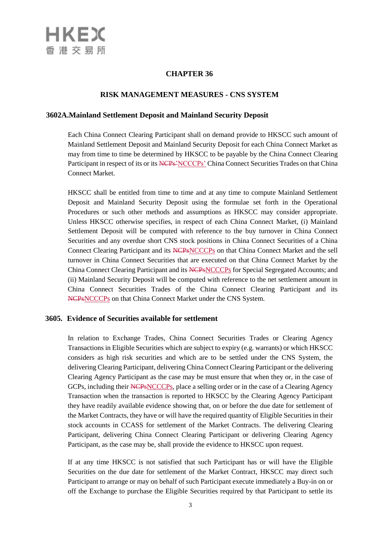# **CHAPTER 36**

# **RISK MANAGEMENT MEASURES - CNS SYSTEM**

# **3602A.Mainland Settlement Deposit and Mainland Security Deposit**

Each China Connect Clearing Participant shall on demand provide to HKSCC such amount of Mainland Settlement Deposit and Mainland Security Deposit for each China Connect Market as may from time to time be determined by HKSCC to be payable by the China Connect Clearing Participant in respect of its or its NCPs<sup>2</sup>NCCCPs<sup>2</sup> China Connect Securities Trades on that China Connect Market.

HKSCC shall be entitled from time to time and at any time to compute Mainland Settlement Deposit and Mainland Security Deposit using the formulae set forth in the Operational Procedures or such other methods and assumptions as HKSCC may consider appropriate. Unless HKSCC otherwise specifies, in respect of each China Connect Market, (i) Mainland Settlement Deposit will be computed with reference to the buy turnover in China Connect Securities and any overdue short CNS stock positions in China Connect Securities of a China Connect Clearing Participant and its NCPsNCCCPs on that China Connect Market and the sell turnover in China Connect Securities that are executed on that China Connect Market by the China Connect Clearing Participant and its NCPsNCCCPs for Special Segregated Accounts; and (ii) Mainland Security Deposit will be computed with reference to the net settlement amount in China Connect Securities Trades of the China Connect Clearing Participant and its NCPsNCCCPs on that China Connect Market under the CNS System.

# **3605. Evidence of Securities available for settlement**

In relation to Exchange Trades, China Connect Securities Trades or Clearing Agency Transactions in Eligible Securities which are subject to expiry (e.g. warrants) or which HKSCC considers as high risk securities and which are to be settled under the CNS System, the delivering Clearing Participant, delivering China Connect Clearing Participant or the delivering Clearing Agency Participant as the case may be must ensure that when they or, in the case of GCPs, including their NCPsNCCCPs, place a selling order or in the case of a Clearing Agency Transaction when the transaction is reported to HKSCC by the Clearing Agency Participant they have readily available evidence showing that, on or before the due date for settlement of the Market Contracts, they have or will have the required quantity of Eligible Securities in their stock accounts in CCASS for settlement of the Market Contracts. The delivering Clearing Participant, delivering China Connect Clearing Participant or delivering Clearing Agency Participant, as the case may be, shall provide the evidence to HKSCC upon request.

If at any time HKSCC is not satisfied that such Participant has or will have the Eligible Securities on the due date for settlement of the Market Contract, HKSCC may direct such Participant to arrange or may on behalf of such Participant execute immediately a Buy-in on or off the Exchange to purchase the Eligible Securities required by that Participant to settle its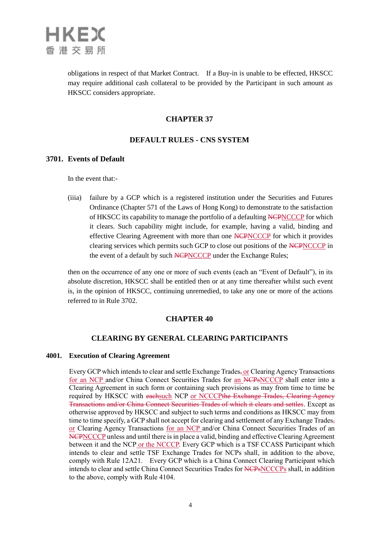

obligations in respect of that Market Contract. If a Buy-in is unable to be effected, HKSCC may require additional cash collateral to be provided by the Participant in such amount as HKSCC considers appropriate.

# **CHAPTER 37**

# **DEFAULT RULES - CNS SYSTEM**

# **3701. Events of Default**

In the event that:-

(iiia) failure by a GCP which is a registered institution under the Securities and Futures Ordinance (Chapter 571 of the Laws of Hong Kong) to demonstrate to the satisfaction of HKSCC its capability to manage the portfolio of a defaulting NCPNCCCP for which it clears. Such capability might include, for example, having a valid, binding and effective Clearing Agreement with more than one NCPNCCCP for which it provides clearing services which permits such GCP to close out positions of the NCPNCCCP in the event of a default by such NCPNCCCP under the Exchange Rules;

then on the occurrence of any one or more of such events (each an "Event of Default"), in its absolute discretion, HKSCC shall be entitled then or at any time thereafter whilst such event is, in the opinion of HKSCC, continuing unremedied, to take any one or more of the actions referred to in Rule 3702.

## **CHAPTER 40**

## **CLEARING BY GENERAL CLEARING PARTICIPANTS**

#### **4001. Execution of Clearing Agreement**

Every GCP which intends to clear and settle Exchange Trades, or Clearing Agency Transactions for an NCP and/or China Connect Securities Trades for an NCPsNCCCP shall enter into a Clearing Agreement in such form or containing such provisions as may from time to time be required by HKSCC with eachsuch NCP or NCCCPthe Exchange Trades, Clearing Agency Transactions and/or China Connect Securities Trades of which it clears and settles. Except as otherwise approved by HKSCC and subject to such terms and conditions as HKSCC may from time to time specify, a GCP shall not accept for clearing and settlement of any Exchange Trades, or Clearing Agency Transactions for an NCP and/or China Connect Securities Trades of an NCPNCCCP unless and until there is in place a valid, binding and effective Clearing Agreement between it and the NCP or the NCCCP. Every GCP which is a TSF CCASS Participant which intends to clear and settle TSF Exchange Trades for NCPs shall, in addition to the above, comply with Rule 12A21. Every GCP which is a China Connect Clearing Participant which intends to clear and settle China Connect Securities Trades for NCPsNCCCPs shall, in addition to the above, comply with Rule 4104.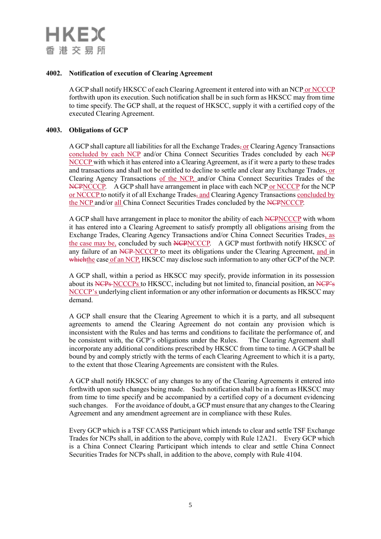## **4002. Notification of execution of Clearing Agreement**

A GCP shall notify HKSCC of each Clearing Agreement it entered into with an NCP or NCCCP forthwith upon its execution. Such notification shall be in such form as HKSCC may from time to time specify. The GCP shall, at the request of HKSCC, supply it with a certified copy of the executed Clearing Agreement.

#### **4003. Obligations of GCP**

A GCP shall capture all liabilities for all the Exchange Trades, or Clearing Agency Transactions concluded by each NCP and/or China Connect Securities Trades concluded by each NCP NCCCP with which it has entered into a Clearing Agreement, as if it were a party to these trades and transactions and shall not be entitled to decline to settle and clear any Exchange Trades, or Clearing Agency Transactions of the NCP, and/or China Connect Securities Trades of the NCPNCCCP. A GCP shall have arrangement in place with each NCP or NCCCP for the NCP or NCCCP to notify it of all Exchange Trades, and Clearing Agency Transactions concluded by the NCP and/or all China Connect Securities Trades concluded by the NCPNCCCP.

A GCP shall have arrangement in place to monitor the ability of each NCPNCCCP with whom it has entered into a Clearing Agreement to satisfy promptly all obligations arising from the Exchange Trades, Clearing Agency Transactions and/or China Connect Securities Trades, as the case may be, concluded by such NCPNCCCP. A GCP must forthwith notify HKSCC of any failure of an NCP NCCCP to meet its obligations under the Clearing Agreement, and in which the case of an NCP, HKSCC may disclose such information to any other GCP of the NCP.

A GCP shall, within a period as HKSCC may specify, provide information in its possession about its NCPs NCCCPs to HKSCC, including but not limited to, financial position, an NCP's NCCCP's underlying client information or any other information or documents as HKSCC may demand.

A GCP shall ensure that the Clearing Agreement to which it is a party, and all subsequent agreements to amend the Clearing Agreement do not contain any provision which is inconsistent with the Rules and has terms and conditions to facilitate the performance of, and be consistent with, the GCP's obligations under the Rules. The Clearing Agreement shall incorporate any additional conditions prescribed by HKSCC from time to time. A GCP shall be bound by and comply strictly with the terms of each Clearing Agreement to which it is a party, to the extent that those Clearing Agreements are consistent with the Rules.

A GCP shall notify HKSCC of any changes to any of the Clearing Agreements it entered into forthwith upon such changes being made. Such notification shall be in a form as HKSCC may from time to time specify and be accompanied by a certified copy of a document evidencing such changes. For the avoidance of doubt, a GCP must ensure that any changes to the Clearing Agreement and any amendment agreement are in compliance with these Rules.

Every GCP which is a TSF CCASS Participant which intends to clear and settle TSF Exchange Trades for NCPs shall, in addition to the above, comply with Rule 12A21. Every GCP which is a China Connect Clearing Participant which intends to clear and settle China Connect Securities Trades for NCPs shall, in addition to the above, comply with Rule 4104.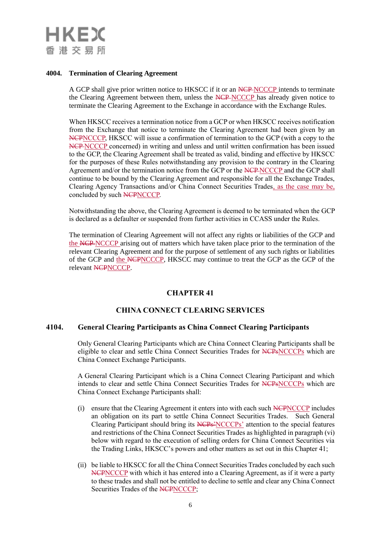# **HKEX** 香港交易所

# **4004. Termination of Clearing Agreement**

A GCP shall give prior written notice to HKSCC if it or an NCP NCCCP intends to terminate the Clearing Agreement between them, unless the NCP NCCCP has already given notice to terminate the Clearing Agreement to the Exchange in accordance with the Exchange Rules.

When HKSCC receives a termination notice from a GCP or when HKSCC receives notification from the Exchange that notice to terminate the Clearing Agreement had been given by an NCPNCCCP, HKSCC will issue a confirmation of termination to the GCP (with a copy to the NCP NCCCP concerned) in writing and unless and until written confirmation has been issued to the GCP, the Clearing Agreement shall be treated as valid, binding and effective by HKSCC for the purposes of these Rules notwithstanding any provision to the contrary in the Clearing Agreement and/or the termination notice from the GCP or the NCP NCCCP and the GCP shall continue to be bound by the Clearing Agreement and responsible for all the Exchange Trades, Clearing Agency Transactions and/or China Connect Securities Trades, as the case may be, concluded by such NCPNCCCP.

Notwithstanding the above, the Clearing Agreement is deemed to be terminated when the GCP is declared as a defaulter or suspended from further activities in CCASS under the Rules.

The termination of Clearing Agreement will not affect any rights or liabilities of the GCP and the NCP NCCCP arising out of matters which have taken place prior to the termination of the relevant Clearing Agreement and for the purpose of settlement of any such rights or liabilities of the GCP and the NCPNCCCP, HKSCC may continue to treat the GCP as the GCP of the relevant NCPNCCCP.

# **CHAPTER 41**

# **CHINA CONNECT CLEARING SERVICES**

# **4104. General Clearing Participants as China Connect Clearing Participants**

Only General Clearing Participants which are China Connect Clearing Participants shall be eligible to clear and settle China Connect Securities Trades for NCPsNCCCPs which are China Connect Exchange Participants.

A General Clearing Participant which is a China Connect Clearing Participant and which intends to clear and settle China Connect Securities Trades for NCPsNCCCPs which are China Connect Exchange Participants shall:

- (i) ensure that the Clearing Agreement it enters into with each such NCPNCCCP includes an obligation on its part to settle China Connect Securities Trades. Such General Clearing Participant should bring its NCPs'NCCCPs' attention to the special features and restrictions of the China Connect Securities Trades as highlighted in paragraph (vi) below with regard to the execution of selling orders for China Connect Securities via the Trading Links, HKSCC's powers and other matters as set out in this Chapter 41;
- (ii) be liable to HKSCC for all the China Connect Securities Trades concluded by each such NCPNCCCP with which it has entered into a Clearing Agreement, as if it were a party to these trades and shall not be entitled to decline to settle and clear any China Connect Securities Trades of the NCPNCCCP;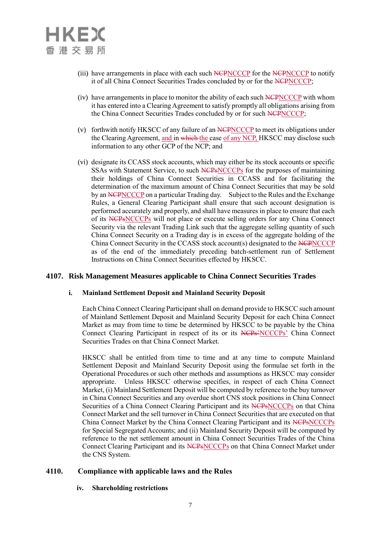- (iii) have arrangements in place with each such NCPNCCCP for the NCPNCCCP to notify it of all China Connect Securities Trades concluded by or for the NCPNCCCP;
- (iv) have arrangements in place to monitor the ability of each such NCPNCCCP with whom it has entered into a Clearing Agreement to satisfy promptly all obligations arising from the China Connect Securities Trades concluded by or for such NCPNCCCP;
- (v) forthwith notify HKSCC of any failure of an NCPNCCCP to meet its obligations under the Clearing Agreement, and in which the case of any NCP, HKSCC may disclose such information to any other GCP of the NCP; and
- (vi) designate its CCASS stock accounts, which may either be its stock accounts or specific SSAs with Statement Service, to such NCPsNCCCPs for the purposes of maintaining their holdings of China Connect Securities in CCASS and for facilitating the determination of the maximum amount of China Connect Securities that may be sold by an NCPNCCCP on a particular Trading day. Subject to the Rules and the Exchange Rules, a General Clearing Participant shall ensure that such account designation is performed accurately and properly, and shall have measures in place to ensure that each of its NCPsNCCCPs will not place or execute selling orders for any China Connect Security via the relevant Trading Link such that the aggregate selling quantity of such China Connect Security on a Trading day is in excess of the aggregate holding of the China Connect Security in the CCASS stock account(s) designated to the NCPNCCCP as of the end of the immediately preceding batch-settlement run of Settlement Instructions on China Connect Securities effected by HKSCC.

## **4107. Risk Management Measures applicable to China Connect Securities Trades**

## **i. Mainland Settlement Deposit and Mainland Security Deposit**

Each China Connect Clearing Participant shall on demand provide to HKSCC such amount of Mainland Settlement Deposit and Mainland Security Deposit for each China Connect Market as may from time to time be determined by HKSCC to be payable by the China Connect Clearing Participant in respect of its or its NCPs'NCCCPs' China Connect Securities Trades on that China Connect Market.

HKSCC shall be entitled from time to time and at any time to compute Mainland Settlement Deposit and Mainland Security Deposit using the formulae set forth in the Operational Procedures or such other methods and assumptions as HKSCC may consider appropriate. Unless HKSCC otherwise specifies, in respect of each China Connect Market, (i) Mainland Settlement Deposit will be computed by reference to the buy turnover in China Connect Securities and any overdue short CNS stock positions in China Connect Securities of a China Connect Clearing Participant and its NCPsNCCCPs on that China Connect Market and the sell turnover in China Connect Securities that are executed on that China Connect Market by the China Connect Clearing Participant and its NCPsNCCCPs for Special Segregated Accounts; and (ii) Mainland Security Deposit will be computed by reference to the net settlement amount in China Connect Securities Trades of the China Connect Clearing Participant and its NCPsNCCCPs on that China Connect Market under the CNS System.

## **4110. Compliance with applicable laws and the Rules**

## **iv. Shareholding restrictions**